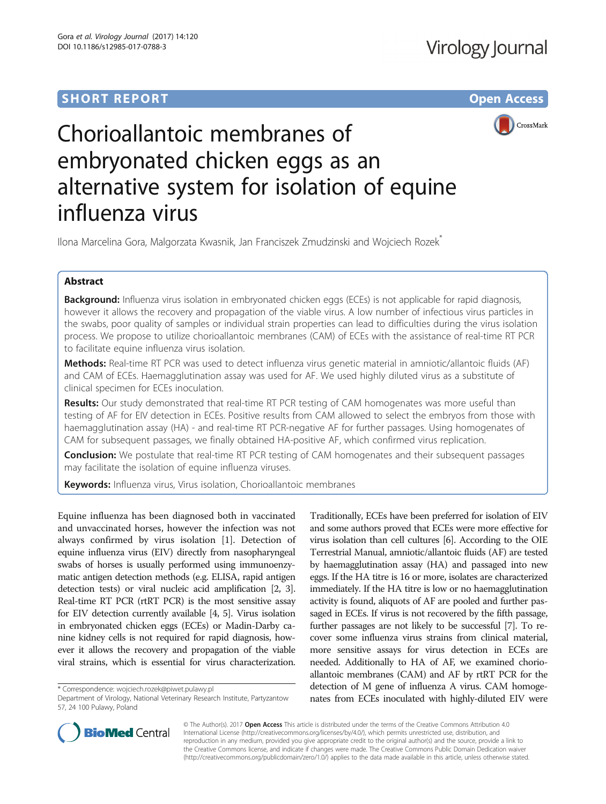# **SHORT REPORT SHORT CONSUMING THE CONSUMING THE CONSUMING THE CONSUMING THE CONSUMING THE CONSUMING THE CONSUMING THE CONSUMING THE CONSUMING THE CONSUMING THE CONSUMING THE CONSUMING THE CONSUMING THE CONSUMING THE CONS**



# Chorioallantoic membranes of embryonated chicken eggs as an alternative system for isolation of equine influenza virus

Ilona Marcelina Gora, Malgorzata Kwasnik, Jan Franciszek Zmudzinski and Wojciech Rozek\*

## Abstract

Background: Influenza virus isolation in embryonated chicken eggs (ECEs) is not applicable for rapid diagnosis, however it allows the recovery and propagation of the viable virus. A low number of infectious virus particles in the swabs, poor quality of samples or individual strain properties can lead to difficulties during the virus isolation process. We propose to utilize chorioallantoic membranes (CAM) of ECEs with the assistance of real-time RT PCR to facilitate equine influenza virus isolation.

Methods: Real-time RT PCR was used to detect influenza virus genetic material in amniotic/allantoic fluids (AF) and CAM of ECEs. Haemagglutination assay was used for AF. We used highly diluted virus as a substitute of clinical specimen for ECEs inoculation.

Results: Our study demonstrated that real-time RT PCR testing of CAM homogenates was more useful than testing of AF for EIV detection in ECEs. Positive results from CAM allowed to select the embryos from those with haemagglutination assay (HA) - and real-time RT PCR-negative AF for further passages. Using homogenates of CAM for subsequent passages, we finally obtained HA-positive AF, which confirmed virus replication.

**Conclusion:** We postulate that real-time RT PCR testing of CAM homogenates and their subsequent passages may facilitate the isolation of equine influenza viruses.

**Keywords:** Influenza virus, Virus isolation, Chorioallantoic membranes

Equine influenza has been diagnosed both in vaccinated and unvaccinated horses, however the infection was not always confirmed by virus isolation [[1\]](#page-3-0). Detection of equine influenza virus (EIV) directly from nasopharyngeal swabs of horses is usually performed using immunoenzymatic antigen detection methods (e.g. ELISA, rapid antigen detection tests) or viral nucleic acid amplification [\[2](#page-3-0), [3](#page-3-0)]. Real-time RT PCR (rtRT PCR) is the most sensitive assay for EIV detection currently available [\[4, 5\]](#page-3-0). Virus isolation in embryonated chicken eggs (ECEs) or Madin-Darby canine kidney cells is not required for rapid diagnosis, however it allows the recovery and propagation of the viable viral strains, which is essential for virus characterization.

\* Correspondence: [wojciech.rozek@piwet.pulawy.pl](mailto:wojciech.rozek@piwet.pulawy.pl)

Traditionally, ECEs have been preferred for isolation of EIV and some authors proved that ECEs were more effective for virus isolation than cell cultures [\[6](#page-3-0)]. According to the OIE Terrestrial Manual, amniotic/allantoic fluids (AF) are tested by haemagglutination assay (HA) and passaged into new eggs. If the HA titre is 16 or more, isolates are characterized immediately. If the HA titre is low or no haemagglutination activity is found, aliquots of AF are pooled and further passaged in ECEs. If virus is not recovered by the fifth passage, further passages are not likely to be successful [\[7\]](#page-3-0). To recover some influenza virus strains from clinical material, more sensitive assays for virus detection in ECEs are needed. Additionally to HA of AF, we examined chorioallantoic membranes (CAM) and AF by rtRT PCR for the detection of M gene of influenza A virus. CAM homogenates from ECEs inoculated with highly-diluted EIV were



© The Author(s). 2017 Open Access This article is distributed under the terms of the Creative Commons Attribution 4.0 International License [\(http://creativecommons.org/licenses/by/4.0/](http://creativecommons.org/licenses/by/4.0/)), which permits unrestricted use, distribution, and reproduction in any medium, provided you give appropriate credit to the original author(s) and the source, provide a link to the Creative Commons license, and indicate if changes were made. The Creative Commons Public Domain Dedication waiver [\(http://creativecommons.org/publicdomain/zero/1.0/](http://creativecommons.org/publicdomain/zero/1.0/)) applies to the data made available in this article, unless otherwise stated.

Department of Virology, National Veterinary Research Institute, Partyzantow 57, 24 100 Pulawy, Poland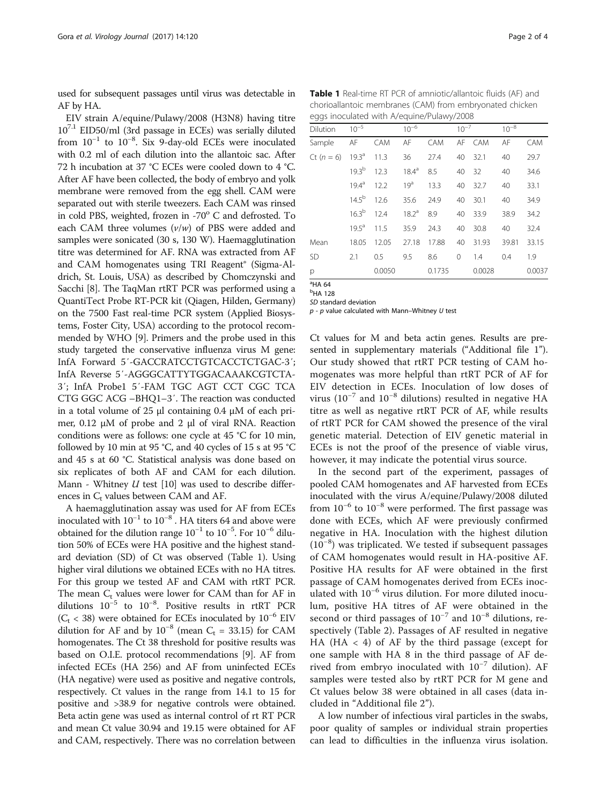used for subsequent passages until virus was detectable in AF by HA.

EIV strain A/equine/Pulawy/2008 (H3N8) having titre 107.1 EID50/ml (3rd passage in ECEs) was serially diluted from  $10^{-1}$  to  $10^{-8}$ . Six 9-day-old ECEs were inoculated with 0.2 ml of each dilution into the allantoic sac. After 72 h incubation at 37 °C ECEs were cooled down to 4 °C. After AF have been collected, the body of embryo and yolk membrane were removed from the egg shell. CAM were separated out with sterile tweezers. Each CAM was rinsed in cold PBS, weighted, frozen in -70 $\textdegree$  C and defrosted. To each CAM three volumes  $(v/w)$  of PBS were added and samples were sonicated (30 s, 130 W). Haemagglutination titre was determined for AF. RNA was extracted from AF and CAM homogenates using TRI Reagent® (Sigma-Aldrich, St. Louis, USA) as described by Chomczynski and Sacchi [\[8](#page-3-0)]. The TaqMan rtRT PCR was performed using a QuantiTect Probe RT-PCR kit (Qiagen, Hilden, Germany) on the 7500 Fast real-time PCR system (Applied Biosystems, Foster City, USA) according to the protocol recommended by WHO [[9\]](#page-3-0). Primers and the probe used in this study targeted the conservative influenza virus M gene: InfA Forward 5′-GACCRATCCTGTCACCTCTGAC-3′; InfA Reverse 5′-AGGGCATTYTGGACAAAKCGTCTA-3′; InfA Probe1 5′-FAM TGC AGT CCT CGC TCA CTG GGC ACG –BHQ1–3′. The reaction was conducted in a total volume of 25 μl containing 0.4 μM of each primer, 0.12 μM of probe and 2 μl of viral RNA. Reaction conditions were as follows: one cycle at 45 °C for 10 min, followed by 10 min at 95 °C, and 40 cycles of 15 s at 95 °C and 45 s at 60 °C. Statistical analysis was done based on six replicates of both AF and CAM for each dilution. Mann - Whitney  $U$  test [\[10\]](#page-3-0) was used to describe differences in  $C_t$  values between CAM and AF.

A haemagglutination assay was used for AF from ECEs inoculated with  $10^{-1}$  to  $10^{-8}$  . HA titers 64 and above were obtained for the dilution range  $10^{-1}$  to  $10^{-5}$ . For  $10^{-6}$  dilution 50% of ECEs were HA positive and the highest standard deviation (SD) of Ct was observed (Table 1). Using higher viral dilutions we obtained ECEs with no HA titres. For this group we tested AF and CAM with rtRT PCR. The mean  $C_t$  values were lower for CAM than for AF in dilutions 10−<sup>5</sup> to 10−<sup>8</sup> . Positive results in rtRT PCR ( $C_t$  < 38) were obtained for ECEs inoculated by 10<sup>-6</sup> EIV dilution for AF and by  $10^{-8}$  (mean C<sub>t</sub> = 33.15) for CAM homogenates. The Ct 38 threshold for positive results was based on O.I.E. protocol recommendations [\[9](#page-3-0)]. AF from infected ECEs (HA 256) and AF from uninfected ECEs (HA negative) were used as positive and negative controls, respectively. Ct values in the range from 14.1 to 15 for positive and >38.9 for negative controls were obtained. Beta actin gene was used as internal control of rt RT PCR and mean Ct value 30.94 and 19.15 were obtained for AF and CAM, respectively. There was no correlation between

Table 1 Real-time RT PCR of amniotic/allantoic fluids (AF) and chorioallantoic membranes (CAM) from embryonated chicken eggs inoculated with A/equine/Pulawy/2008

| <b>Dilution</b> | $10^{-5}$        |        | $10^{-6}$         |        | $10^{-7}$ |        | $10^{-8}$ |        |
|-----------------|------------------|--------|-------------------|--------|-----------|--------|-----------|--------|
| Sample          | AF               | CAM    | AF                | CAM    |           | AF CAM | AF        | CAM    |
| $Ct(n = 6)$     | $19.3^{\circ}$   | 11.3   | 36                | 27.4   | 40        | 32.1   | 40        | 29.7   |
|                 | 193 <sup>b</sup> | 12.3   | $18.4^{\circ}$    | 8.5    | 40        | 32     | 40        | 34.6   |
|                 | $194^{\rm a}$    | 12.2   | 19 <sup>a</sup>   | 13.3   | 40        | 32.7   | 40        | 33.1   |
|                 | $14.5^{b}$       | 12.6   | 35.6              | 24.9   | 40        | 30.1   | 40        | 34.9   |
|                 | $16.3^{b}$       | 12.4   | 18.2 <sup>a</sup> | 8.9    | 40        | 33.9   | 38.9      | 34.2   |
|                 | $19.5^{\circ}$   | 11.5   | 35.9              | 24.3   | 40        | 30.8   | 40        | 32.4   |
| Mean            | 18.05            | 12.05  | 27.18             | 17.88  | 40        | 31.93  | 39.81     | 33.15  |
| <b>SD</b>       | 2.1              | 0.5    | 9.5               | 8.6    | $\Omega$  | 1.4    | 0.4       | 1.9    |
| p               |                  | 0.0050 |                   | 0.1735 |           | 0.0028 |           | 0.0037 |

a HA 64

b HA 128

SD standard deviation

 $p - p$  value calculated with Mann-Whitney U test

Ct values for M and beta actin genes. Results are presented in supplementary materials ("Additional file [1](#page-2-0)"). Our study showed that rtRT PCR testing of CAM homogenates was more helpful than rtRT PCR of AF for EIV detection in ECEs. Inoculation of low doses of virus ( $10^{-7}$  and  $10^{-8}$  dilutions) resulted in negative HA titre as well as negative rtRT PCR of AF, while results of rtRT PCR for CAM showed the presence of the viral genetic material. Detection of EIV genetic material in ECEs is not the proof of the presence of viable virus, however, it may indicate the potential virus source.

In the second part of the experiment, passages of pooled CAM homogenates and AF harvested from ECEs inoculated with the virus A/equine/Pulawy/2008 diluted from  $10^{-6}$  to  $10^{-8}$  were performed. The first passage was done with ECEs, which AF were previously confirmed negative in HA. Inoculation with the highest dilution (10−<sup>8</sup> ) was triplicated. We tested if subsequent passages of CAM homogenates would result in HA-positive AF. Positive HA results for AF were obtained in the first passage of CAM homogenates derived from ECEs inoculated with 10−<sup>6</sup> virus dilution. For more diluted inoculum, positive HA titres of AF were obtained in the second or third passages of  $10^{-7}$  and  $10^{-8}$  dilutions, respectively (Table [2](#page-2-0)). Passages of AF resulted in negative HA (HA < 4) of AF by the third passage (except for one sample with HA 8 in the third passage of AF derived from embryo inoculated with  $10^{-7}$  dilution). AF samples were tested also by rtRT PCR for M gene and Ct values below 38 were obtained in all cases (data included in "Additional file [2](#page-2-0)").

A low number of infectious viral particles in the swabs, poor quality of samples or individual strain properties can lead to difficulties in the influenza virus isolation.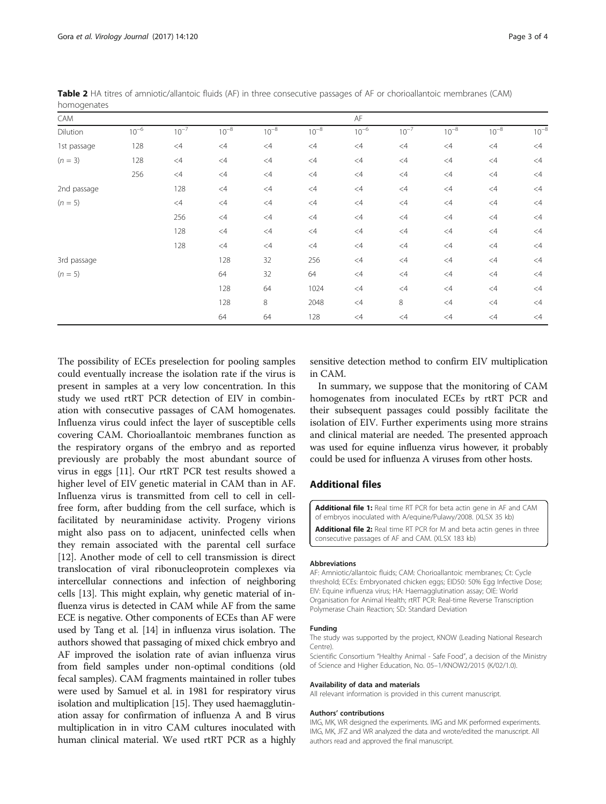| CAM         |           |           |           |           |           | AF        |           |           |           |           |
|-------------|-----------|-----------|-----------|-----------|-----------|-----------|-----------|-----------|-----------|-----------|
| Dilution    | $10^{-6}$ | $10^{-7}$ | $10^{-8}$ | $10^{-8}$ | $10^{-8}$ | $10^{-6}$ | $10^{-7}$ | $10^{-8}$ | $10^{-8}$ | $10^{-8}$ |
| 1st passage | 128       | $<4\,$    | <4        | $\leq 4$  | <4        | $<$ 4     | $<4$      | $<4$      | $<4$      | $<4$      |
| $(n = 3)$   | 128       | $<4\,$    | <4        | $\leq 4$  | <4        | $<$ 4     | $<4$      | $\leq 4$  | $<4$      | $\leq 4$  |
|             | 256       | $<4\,$    | $<$ 4     | $\leq 4$  | <4        | <4        | $<4$      | $<4\,$    | $<4$      | <4        |
| 2nd passage |           | 128       | $<$ 4     | $\leq 4$  | <4        | <4        | $<4$      | $<4$      | $<4$      | <4        |
| $(n = 5)$   |           | $<4$      | $\leq 4$  | $\leq 4$  | <4        | <4        | $<4$      | $<4\,$    | $<4$      | $<4$      |
|             |           | 256       | $\leq 4$  | $\leq 4$  | <4        | <4        | $<$ 4     | $<4$      | $<4$      | $<4$      |
|             |           | 128       | $<$ 4     | $<$ 4     | <4        | <4        | $<4$      | $<4$      | $<$ 4     | <4        |
|             |           | 128       | $<$ 4     | $\leq 4$  | <4        | <4        | $<4\,$    | $<4\,$    | $<4$      | <4        |
| 3rd passage |           |           | 128       | 32        | 256       | <4        | $<$ 4     | $<4\,$    | $<4$      | $<4\,$    |
| $(n = 5)$   |           |           | 64        | 32        | 64        | <4        | $<4\,$    | $<4\,$    | $<4\,$    | <4        |
|             |           |           | 128       | 64        | 1024      | <4        | $<4\,$    | $<4\,$    | $<4$      | <4        |
|             |           |           | 128       | 8         | 2048      | <4        | 8         | $\leq 4$  | $<4\,$    | <4        |
|             |           |           | 64        | 64        | 128       | <4        | $<4$      | $<4$      | $<4$      | $\leq 4$  |

<span id="page-2-0"></span>Table 2 HA titres of amniotic/allantoic fluids (AF) in three consecutive passages of AF or chorioallantoic membranes (CAM) homogenates

The possibility of ECEs preselection for pooling samples could eventually increase the isolation rate if the virus is present in samples at a very low concentration. In this study we used rtRT PCR detection of EIV in combination with consecutive passages of CAM homogenates. Influenza virus could infect the layer of susceptible cells covering CAM. Chorioallantoic membranes function as the respiratory organs of the embryo and as reported previously are probably the most abundant source of virus in eggs [\[11\]](#page-3-0). Our rtRT PCR test results showed a higher level of EIV genetic material in CAM than in AF. Influenza virus is transmitted from cell to cell in cellfree form, after budding from the cell surface, which is facilitated by neuraminidase activity. Progeny virions might also pass on to adjacent, uninfected cells when they remain associated with the parental cell surface [[12\]](#page-3-0). Another mode of cell to cell transmission is direct translocation of viral ribonucleoprotein complexes via intercellular connections and infection of neighboring cells [\[13](#page-3-0)]. This might explain, why genetic material of influenza virus is detected in CAM while AF from the same ECE is negative. Other components of ECEs than AF were used by Tang et al. [\[14\]](#page-3-0) in influenza virus isolation. The authors showed that passaging of mixed chick embryo and AF improved the isolation rate of avian influenza virus from field samples under non-optimal conditions (old fecal samples). CAM fragments maintained in roller tubes were used by Samuel et al. in 1981 for respiratory virus isolation and multiplication [\[15\]](#page-3-0). They used haemagglutination assay for confirmation of influenza A and B virus multiplication in in vitro CAM cultures inoculated with human clinical material. We used rtRT PCR as a highly

sensitive detection method to confirm EIV multiplication in CAM.

In summary, we suppose that the monitoring of CAM homogenates from inoculated ECEs by rtRT PCR and their subsequent passages could possibly facilitate the isolation of EIV. Further experiments using more strains and clinical material are needed. The presented approach was used for equine influenza virus however, it probably could be used for influenza A viruses from other hosts.

### Additional files

[Additional file 1:](dx.doi.org/10.1186/s12985-017-0788-3) Real time RT PCR for beta actin gene in AF and CAM of embryos inoculated with A/equine/Pulawy/2008. (XLSX 35 kb) [Additional file 2:](dx.doi.org/10.1186/s12985-017-0788-3) Real time RT PCR for M and beta actin genes in three consecutive passages of AF and CAM. (XLSX 183 kb)

#### Abbreviations

AF: Amniotic/allantoic fluids; CAM: Chorioallantoic membranes; Ct: Cycle threshold; ECEs: Embryonated chicken eggs; EID50: 50% Egg Infective Dose; EIV: Equine influenza virus; HA: Haemagglutination assay; OIE: World Organisation for Animal Health; rtRT PCR: Real-time Reverse Transcription Polymerase Chain Reaction; SD: Standard Deviation

#### Funding

The study was supported by the project, KNOW (Leading National Research Centre).

Scientific Consortium "Healthy Animal - Safe Food", a decision of the Ministry of Science and Higher Education, No. 05–1/KNOW2/2015 (K/02/1.0).

#### Availability of data and materials

All relevant information is provided in this current manuscript.

#### Authors' contributions

IMG, MK, WR designed the experiments. IMG and MK performed experiments. IMG, MK, JFZ and WR analyzed the data and wrote/edited the manuscript. All authors read and approved the final manuscript.